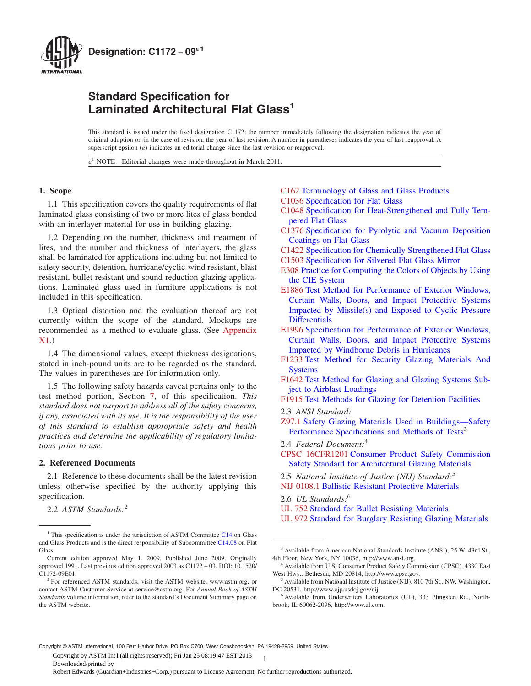<span id="page-0-0"></span>

## **Standard Specification for Laminated Architectural Flat Glass<sup>1</sup>**

This standard is issued under the fixed designation C1172; the number immediately following the designation indicates the year of original adoption or, in the case of revision, the year of last revision. A number in parentheses indicates the year of last reapproval. A superscript epsilon  $(\varepsilon)$  indicates an editorial change since the last revision or reapproval.

 $\varepsilon$ <sup>1</sup> NOTE—Editorial changes were made throughout in March 2011.

## **1. Scope**

1.1 This specification covers the quality requirements of flat laminated glass consisting of two or more lites of glass bonded with an interlayer material for use in building glazing.

1.2 Depending on the number, thickness and treatment of lites, and the number and thickness of interlayers, the glass shall be laminated for applications including but not limited to safety security, detention, hurricane/cyclic-wind resistant, blast resistant, bullet resistant and sound reduction glazing applications. Laminated glass used in furniture applications is not included in this specification.

1.3 Optical distortion and the evaluation thereof are not currently within the scope of the standard. Mockups are recommended as a method to evaluate glass. (See [Appendix](#page-5-0) [X1.](#page-5-0))

1.4 The dimensional values, except thickness designations, stated in inch-pound units are to be regarded as the standard. The values in parentheses are for information only.

1.5 The following safety hazards caveat pertains only to the test method portion, Section [7,](#page-2-0) of this specification. *This standard does not purport to address all of the safety concerns, if any, associated with its use. It is the responsibility of the user of this standard to establish appropriate safety and health practices and determine the applicability of regulatory limitations prior to use.*

### **2. Referenced Documents**

2.1 Reference to these documents shall be the latest revision unless otherwise specified by the authority applying this specification.

2.2 *ASTM Standards:*<sup>2</sup>

## [C162](#page-1-0) [Terminology of Glass and Glass Products](http://dx.doi.org/10.1520/C0162) [C1036](#page-1-0) [Specification for Flat Glass](http://dx.doi.org/10.1520/C1036)

- [C1048](#page-1-0) [Specification for Heat-Strengthened and Fully Tem](http://dx.doi.org/10.1520/C1048)[pered Flat Glass](http://dx.doi.org/10.1520/C1048)
- [C1376](#page-2-0) [Specification for Pyrolytic and Vacuum Deposition](http://dx.doi.org/10.1520/C1376) [Coatings on Flat Glass](http://dx.doi.org/10.1520/C1376)
- [C1422](#page-2-0) [Specification for Chemically Strengthened Flat Glass](http://dx.doi.org/10.1520/C1422)
- [C1503](#page-2-0) [Specification for Silvered Flat Glass Mirror](http://dx.doi.org/10.1520/C1503)
- [E308](#page-2-0) [Practice for Computing the Colors of Objects by Using](http://dx.doi.org/10.1520/E0308) [the CIE System](http://dx.doi.org/10.1520/E0308)
- [E1886](#page-2-0) [Test Method for Performance of Exterior Windows,](http://dx.doi.org/10.1520/E1886) [Curtain Walls, Doors, and Impact Protective Systems](http://dx.doi.org/10.1520/E1886) [Impacted by Missile\(s\) and Exposed to Cyclic Pressure](http://dx.doi.org/10.1520/E1886) **[Differentials](http://dx.doi.org/10.1520/E1886)**
- [E1996](#page-2-0) [Specification for Performance of Exterior Windows,](http://dx.doi.org/10.1520/E1996) [Curtain Walls, Doors, and Impact Protective Systems](http://dx.doi.org/10.1520/E1996) [Impacted by Windborne Debris in Hurricanes](http://dx.doi.org/10.1520/E1996)
- [F1233](#page-2-0) [Test Method for Security Glazing Materials And](http://dx.doi.org/10.1520/F1233) [Systems](http://dx.doi.org/10.1520/F1233)
- [F1642](#page-2-0) [Test Method for Glazing and Glazing Systems Sub](http://dx.doi.org/10.1520/F1642)[ject to Airblast Loadings](http://dx.doi.org/10.1520/F1642)
- [F1915](#page-2-0) [Test Methods for Glazing for Detention Facilities](http://dx.doi.org/10.1520/F1915)
- 2.3 *ANSI Standard:*
- [Z97.1](#page-1-0) Safety Glazing Materials Used in Buildings—Safety Performance Specifications and Methods of Tests<sup>3</sup>
- 2.4 *Federal Document:*<sup>4</sup>
- [CPSC 16CFR1201](#page-1-0) Consumer Product Safety Commission Safety Standard for Architectural Glazing Materials
- 2.5 *National Institute of Justice (NIJ) Standard:*<sup>5</sup>

- 2.6 *UL Standards:*<sup>6</sup>
- [UL 752](#page-2-0) Standard for Bullet Resisting Materials
- [UL 972](#page-2-0) Standard for Burglary Resisting Glazing Materials

Copyright © ASTM International, 100 Barr Harbor Drive, PO Box C700, West Conshohocken, PA 19428-2959. United States

1 Copyright by ASTM Int'l (all rights reserved); Fri Jan 25 08:19:47 EST 2013

<sup>&</sup>lt;sup>1</sup> This specification is under the jurisdiction of ASTM Committee [C14](http://www.astm.org/COMMIT/COMMITTEE/C14.htm) on Glass and Glass Products and is the direct responsibility of Subcommittee [C14.08](http://www.astm.org/COMMIT/SUBCOMMIT/C1408.htm) on Flat Glass.

Current edition approved May 1, 2009. Published June 2009. Originally approved 1991. Last previous edition approved 2003 as C1172 – 03. DOI: 10.1520/ C1172-09E01.

<sup>&</sup>lt;sup>2</sup> For referenced ASTM standards, visit the ASTM website, www.astm.org, or contact ASTM Customer Service at service@astm.org. For *Annual Book of ASTM Standards* volume information, refer to the standard's Document Summary page on the ASTM website.

[NIJ 0108.1](#page-2-0) Ballistic Resistant Protective Materials

<sup>3</sup> Available from American National Standards Institute (ANSI), 25 W. 43rd St., 4th Floor, New York, NY 10036, http://www.ansi.org.

<sup>4</sup> Available from U.S. Consumer Product Safety Commission (CPSC), 4330 East West Hwy., Bethesda, MD 20814, http://www.cpsc.gov.

<sup>&</sup>lt;sup>5</sup> Available from National Institute of Justice (NIJ), 810 7th St., NW, Washington, DC 20531, http://www.ojp.usdoj.gov/nij.

<sup>&</sup>lt;sup>6</sup> Available from Underwriters Laboratories (UL), 333 Pfingsten Rd., Northbrook, IL 60062-2096, http://www.ul.com.

Downloaded/printed by

Robert Edwards (Guardian+Industries+Corp.) pursuant to License Agreement. No further reproductions authorized.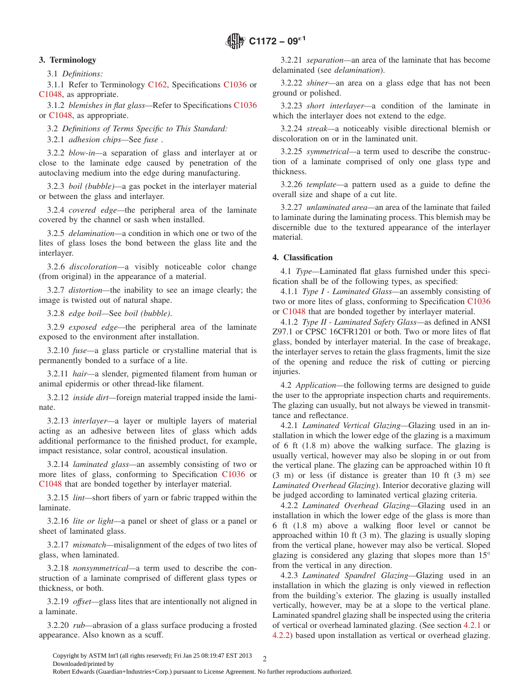## <span id="page-1-0"></span>**3. Terminology**

3.1 *Definitions:*

3.1.1 Refer to Terminology [C162,](#page-0-0) Specifications C1036 or C1048, as appropriate.

3.1.2 *blemishes in flat glass—*Refer to Specifications C1036 or C1048, as appropriate.

3.2 *Definitions of Terms Specific to This Standard:*

3.2.1 *adhesion chips—*See *fuse* .

3.2.2 *blow-in—*a separation of glass and interlayer at or close to the laminate edge caused by penetration of the autoclaving medium into the edge during manufacturing.

3.2.3 *boil (bubble)—*a gas pocket in the interlayer material or between the glass and interlayer.

3.2.4 *covered edge—*the peripheral area of the laminate covered by the channel or sash when installed.

3.2.5 *delamination—*a condition in which one or two of the lites of glass loses the bond between the glass lite and the interlayer.

3.2.6 *discoloration—*a visibly noticeable color change (from original) in the appearance of a material.

3.2.7 *distortion—*the inability to see an image clearly; the image is twisted out of natural shape.

3.2.8 *edge boil—*See *boil (bubble)*.

3.2.9 *exposed edge—*the peripheral area of the laminate exposed to the environment after installation.

3.2.10 *fuse—*a glass particle or crystalline material that is permanently bonded to a surface of a lite.

3.2.11 *hair—*a slender, pigmented filament from human or animal epidermis or other thread-like filament.

3.2.12 *inside dirt—*foreign material trapped inside the laminate.

3.2.13 *interlayer—*a layer or multiple layers of material acting as an adhesive between lites of glass which adds additional performance to the finished product, for example, impact resistance, solar control, acoustical insulation.

3.2.14 *laminated glass—*an assembly consisting of two or more lites of glass, conforming to Specification C1036 or C1048 that are bonded together by interlayer material.

3.2.15 *lint—*short fibers of yarn or fabric trapped within the laminate.

3.2.16 *lite or light—*a panel or sheet of glass or a panel or sheet of laminated glass.

3.2.17 *mismatch—*misalignment of the edges of two lites of glass, when laminated.

3.2.18 *nonsymmetrical—*a term used to describe the construction of a laminate comprised of different glass types or thickness, or both.

3.2.19 *offset—*glass lites that are intentionally not aligned in a laminate.

3.2.20 *rub—*abrasion of a glass surface producing a frosted appearance. Also known as a scuff.

3.2.21 *separation—*an area of the laminate that has become delaminated (see *delamination*).

3.2.22 *shiner—*an area on a glass edge that has not been ground or polished.

3.2.23 *short interlayer—*a condition of the laminate in which the interlayer does not extend to the edge.

3.2.24 *streak—*a noticeably visible directional blemish or discoloration on or in the laminated unit.

3.2.25 *symmetrical—*a term used to describe the construction of a laminate comprised of only one glass type and thickness.

3.2.26 *template—*a pattern used as a guide to define the overall size and shape of a cut lite.

3.2.27 *unlaminated area—*an area of the laminate that failed to laminate during the laminating process. This blemish may be discernible due to the textured appearance of the interlayer material.

## **4. Classification**

4.1 *Type—*Laminated flat glass furnished under this specification shall be of the following types, as specified:

4.1.1 *Type I - Laminated Glass—*an assembly consisting of two or more lites of glass, conforming to Specification [C1036](#page-2-0) or [C1048](#page-2-0) that are bonded together by interlayer material.

4.1.2 *Type II - Laminated Safety Glass—*as defined in ANSI Z97.1 or CPSC 16CFR1201 or both. Two or more lites of flat glass, bonded by interlayer material. In the case of breakage, the interlayer serves to retain the glass fragments, limit the size of the opening and reduce the risk of cutting or piercing injuries.

4.2 *Application—*the following terms are designed to guide the user to the appropriate inspection charts and requirements. The glazing can usually, but not always be viewed in transmittance and reflectance.

4.2.1 *Laminated Vertical Glazing—*Glazing used in an installation in which the lower edge of the glazing is a maximum of 6 ft (1.8 m) above the walking surface. The glazing is usually vertical, however may also be sloping in or out from the vertical plane. The glazing can be approached within 10 ft (3 m) or less (if distance is greater than 10 ft (3 m) see *Laminated Overhead Glazing*). Interior decorative glazing will be judged according to laminated vertical glazing criteria.

4.2.2 *Laminated Overhead Glazing—*Glazing used in an installation in which the lower edge of the glass is more than 6 ft (1.8 m) above a walking floor level or cannot be approached within 10 ft (3 m). The glazing is usually sloping from the vertical plane, however may also be vertical. Sloped glazing is considered any glazing that slopes more than 15° from the vertical in any direction.

4.2.3 *Laminated Spandrel Glazing—*Glazing used in an installation in which the glazing is only viewed in reflection from the building's exterior. The glazing is usually installed vertically, however, may be at a slope to the vertical plane. Laminated spandrel glazing shall be inspected using the criteria of vertical or overhead laminated glazing. (See section 4.2.1 or 4.2.2) based upon installation as vertical or overhead glazing.

Copyright by ASTM Int'l (all rights reserved); Fri Jan 25 08:19:47 EST 2013  $\gamma$ Downloaded/printed by

Robert Edwards (Guardian+Industries+Corp.) pursuant to License Agreement. No further reproductions authorized.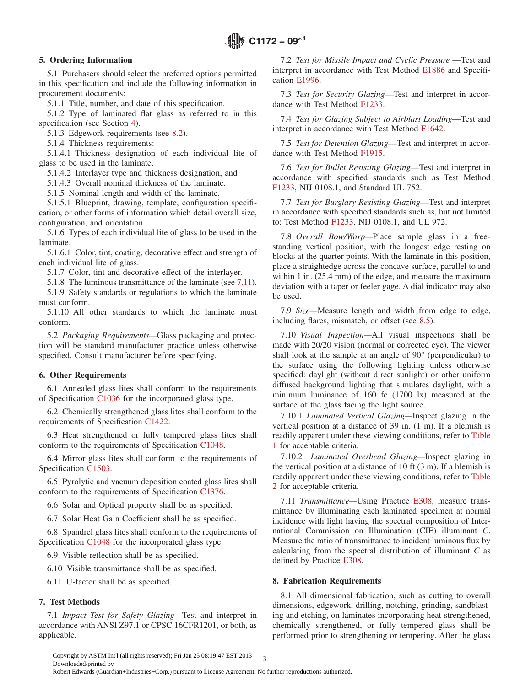## <span id="page-2-0"></span>**5. Ordering Information**

5.1 Purchasers should select the preferred options permitted in this specification and include the following information in procurement documents:

5.1.1 Title, number, and date of this specification.

5.1.2 Type of laminated flat glass as referred to in this specification (see Section [4\)](#page-1-0).

5.1.3 Edgework requirements (see [8.2\)](#page-3-0).

5.1.4 Thickness requirements:

5.1.4.1 Thickness designation of each individual lite of glass to be used in the laminate,

5.1.4.2 Interlayer type and thickness designation, and

5.1.4.3 Overall nominal thickness of the laminate.

5.1.5 Nominal length and width of the laminate.

5.1.5.1 Blueprint, drawing, template, configuration specification, or other forms of information which detail overall size, configuration, and orientation.

5.1.6 Types of each individual lite of glass to be used in the laminate.

5.1.6.1 Color, tint, coating, decorative effect and strength of each individual lite of glass.

5.1.7 Color, tint and decorative effect of the interlayer.

5.1.8 The luminous transmittance of the laminate (see 7.11).

5.1.9 Safety standards or regulations to which the laminate must conform.

5.1.10 All other standards to which the laminate must conform.

5.2 *Packaging Requirements—*Glass packaging and protection will be standard manufacturer practice unless otherwise specified. Consult manufacturer before specifying.

## **6. Other Requirements**

6.1 Annealed glass lites shall conform to the requirements of Specification [C1036](#page-3-0) for the incorporated glass type.

6.2 Chemically strengthened glass lites shall conform to the requirements of Specification [C1422.](#page-0-0)

6.3 Heat strengthened or fully tempered glass lites shall conform to the requirements of Specification C1048.

6.4 Mirror glass lites shall conform to the requirements of Specification [C1503.](#page-0-0)

6.5 Pyrolytic and vacuum deposition coated glass lites shall conform to the requirements of Specification [C1376.](#page-0-0)

6.6 Solar and Optical property shall be as specified.

6.7 Solar Heat Gain Coefficient shall be as specified.

6.8 Spandrel glass lites shall conform to the requirements of Specification [C1048](#page-0-0) for the incorporated glass type.

6.9 Visible reflection shall be as specified.

6.10 Visible transmittance shall be as specified.

6.11 U-factor shall be as specified.

## **7. Test Methods**

7.1 *Impact Test for Safety Glazing—*Test and interpret in accordance with ANSI Z97.1 or CPSC 16CFR1201, or both, as applicable.

7.2 *Test for Missile Impact and Cyclic Pressure* —Test and interpret in accordance with Test Method [E1886](#page-0-0) and Specification [E1996.](#page-0-0)

7.3 *Test for Security Glazing*—Test and interpret in accordance with Test Method F1233.

7.4 *Test for Glazing Subject to Airblast Loading*—Test and interpret in accordance with Test Method [F1642.](#page-0-0)

7.5 *Test for Detention Glazing*—Test and interpret in accordance with Test Method [F1915.](#page-0-0)

7.6 *Test for Bullet Resisting Glazing*—Test and interpret in accordance with specified standards such as Test Method F1233, NIJ 0108.1, and Standard UL 752.

7.7 *Test for Burglary Resisting Glazing*—Test and interpret in accordance with specified standards such as, but not limited to: Test Method [F1233,](#page-0-0) NIJ 0108.1, and UL 972.

7.8 *Overall Bow/Warp—*Place sample glass in a freestanding vertical position, with the longest edge resting on blocks at the quarter points. With the laminate in this position, place a straightedge across the concave surface, parallel to and within 1 in. (25.4 mm) of the edge, and measure the maximum deviation with a taper or feeler gage. A dial indicator may also be used.

7.9 *Size—*Measure length and width from edge to edge, including flares, mismatch, or offset (see [8.5\)](#page-3-0).

7.10 *Visual Inspection—*All visual inspections shall be made with 20/20 vision (normal or corrected eye). The viewer shall look at the sample at an angle of 90° (perpendicular) to the surface using the following lighting unless otherwise specified: daylight (without direct sunlight) or other uniform diffused background lighting that simulates daylight, with a minimum luminance of 160 fc (1700 lx) measured at the surface of the glass facing the light source.

7.10.1 *Laminated Vertical Glazing—*Inspect glazing in the vertical position at a distance of 39 in. (1 m). If a blemish is readily apparent under these viewing conditions, refer to [Table](#page-3-0) [1](#page-3-0) for acceptable criteria.

7.10.2 *Laminated Overhead Glazing—*Inspect glazing in the vertical position at a distance of 10 ft (3 m). If a blemish is readily apparent under these viewing conditions, refer to [Table](#page-4-0) [2](#page-4-0) for acceptable criteria.

7.11 *Transmittance—*Using Practice E308, measure transmittance by illuminating each laminated specimen at normal incidence with light having the spectral composition of International Commission on Illumination (CIE) illuminant *C*. Measure the ratio of transmittance to incident luminous flux by calculating from the spectral distribution of illuminant *C* as defined by Practice [E308.](#page-0-0)

## **8. Fabrication Requirements**

8.1 All dimensional fabrication, such as cutting to overall dimensions, edgework, drilling, notching, grinding, sandblasting and etching, on laminates incorporating heat-strengthened, chemically strengthened, or fully tempered glass shall be performed prior to strengthening or tempering. After the glass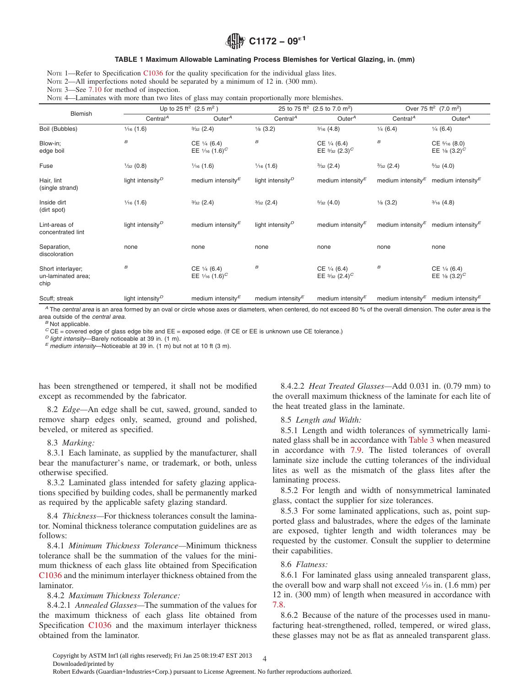## **C1172 − 09**´**<sup>1</sup>**

#### **TABLE 1 Maximum Allowable Laminating Process Blemishes for Vertical Glazing, in. (mm)**

<span id="page-3-0"></span>NOTE 1—Refer to Specification [C1036](#page-4-0) for the quality specification for the individual glass lites.

NOTE 2—All imperfections noted should be separated by a minimum of 12 in. (300 mm).

NOTE 3—See [7.10](#page-2-0) for method of inspection.

Nore 4—Laminates with more than two lites of glass may contain proportionally more blemishes.

| Blemish                                         |                                           | Up to 25 ft <sup>2</sup> (2.5 m <sup>2</sup> )         |                                           | 25 to 75 ft <sup>2</sup> (2.5 to 7.0 m <sup>2</sup> )          |                                   | Over 75 ft <sup>2</sup> (7.0 m <sup>2</sup> )                 |  |
|-------------------------------------------------|-------------------------------------------|--------------------------------------------------------|-------------------------------------------|----------------------------------------------------------------|-----------------------------------|---------------------------------------------------------------|--|
|                                                 | Central <sup><math>A</math></sup>         | Outer $A$                                              | Central <sup><math>A</math></sup>         | Outer $A$                                                      | Central <sup><math>A</math></sup> | Outer $A$                                                     |  |
| Boil (Bubbles)                                  | $\frac{1}{16}$ (1.6)                      | $\frac{3}{32}$ (2.4)                                   | $\frac{1}{8}$ (3.2)                       | $\frac{3}{16}$ (4.8)                                           | $\frac{1}{4}$ (6.4)               | $\frac{1}{4}$ (6.4)                                           |  |
| Blow-in:<br>edge boil                           | $\boldsymbol{B}$                          | $CE \frac{1}{4} (6.4)$<br>EE $1/16$ (1.6) <sup>C</sup> | $\boldsymbol{B}$                          | $CE \frac{1}{4} (6.4)$<br>EE $\frac{3}{32}$ (2.3) <sup>C</sup> | $\boldsymbol{B}$                  | $CE\frac{5}{16}(8.0)$<br>EE $\frac{1}{8}$ (3.2) <sup>C</sup>  |  |
| Fuse                                            | $\frac{1}{32}$ (0.8)                      | $\frac{1}{16}$ (1.6)                                   | $\frac{1}{16}$ (1.6)                      | $\frac{3}{32}$ (2.4)                                           | $\frac{3}{32}$ (2.4)              | $\frac{5}{32}(4.0)$                                           |  |
| Hair, lint<br>(single strand)                   | light intensity <sup><math>D</math></sup> | medium intensity $\epsilon$                            | light intensity <sup>D</sup>              | medium intensity $\epsilon$                                    | medium intensity $\epsilon$       | medium intensity <sup>E</sup>                                 |  |
| Inside dirt<br>(dirt spot)                      | $\frac{1}{16}$ (1.6)                      | $\frac{3}{32}$ (2.4)                                   | $\frac{3}{32}$ (2.4)                      | $\frac{5}{32}$ (4.0)                                           | $\frac{1}{8}$ (3.2)               | $\frac{3}{16}$ (4.8)                                          |  |
| Lint-areas of<br>concentrated lint              | light intensity <sup><math>D</math></sup> | medium intensity $\epsilon$                            | light intensity <sup><math>D</math></sup> | medium intensity $\epsilon$                                    |                                   | medium intensity <sup>E</sup> medium intensity <sup>E</sup>   |  |
| Separation,<br>discoloration                    | none                                      | none                                                   | none                                      | none                                                           | none                              | none                                                          |  |
| Short interlayer;<br>un-laminated area;<br>chip | В                                         | $CE \frac{1}{4} (6.4)$<br>EE $1/16$ (1.6) <sup>C</sup> | В                                         | $CE \frac{1}{4} (6.4)$<br>EE $\frac{3}{32}$ (2.4) <sup>C</sup> | B                                 | $CE \frac{1}{4} (6.4)$<br>EE $\frac{1}{8}$ (3.2) <sup>C</sup> |  |
| Scuff; streak                                   | light intensity <sup><math>D</math></sup> | medium intensity $\epsilon$                            | medium intensity $\epsilon$               | medium intensity $\epsilon$                                    |                                   | medium intensity <sup>E</sup> medium intensity <sup>E</sup>   |  |

*<sup>A</sup>* The *central area* is an area formed by an oval or circle whose axes or diameters, when centered, do not exceed 80 % of the overall dimension. The *outer area* is the area outside of the *central area*. *<sup>B</sup>* Not applicable.

 $^C$ CE = covered edge of glass edge bite and EE = exposed edge. (If CE or EE is unknown use CE tolerance.)<br>  $^D$  light intensity—Barely noticeable at 39 in. (1 m).<br>  $^E$  medium intensity—Noticeable at 39 in. (1 m) but not

has been strengthened or tempered, it shall not be modified except as recommended by the fabricator.

8.2 *Edge—*An edge shall be cut, sawed, ground, sanded to remove sharp edges only, seamed, ground and polished, beveled, or mitered as specified.

#### 8.3 *Marking:*

8.3.1 Each laminate, as supplied by the manufacturer, shall bear the manufacturer's name, or trademark, or both, unless otherwise specified.

8.3.2 Laminated glass intended for safety glazing applications specified by building codes, shall be permanently marked as required by the applicable safety glazing standard.

8.4 *Thickness—*For thickness tolerances consult the laminator. Nominal thickness tolerance computation guidelines are as follows:

8.4.1 *Minimum Thickness Tolerance—*Minimum thickness tolerance shall be the summation of the values for the minimum thickness of each glass lite obtained from Specification C1036 and the minimum interlayer thickness obtained from the laminator.

8.4.2 *Maximum Thickness Tolerance:*

8.4.2.1 *Annealed Glasses—*The summation of the values for the maximum thickness of each glass lite obtained from Specification [C1036](#page-0-0) and the maximum interlayer thickness obtained from the laminator.

8.4.2.2 *Heat Treated Glasses—*Add 0.031 in. (0.79 mm) to the overall maximum thickness of the laminate for each lite of the heat treated glass in the laminate.

#### 8.5 *Length and Width:*

8.5.1 Length and width tolerances of symmetrically laminated glass shall be in accordance with [Table 3](#page-4-0) when measured in accordance with [7.9.](#page-2-0) The listed tolerances of overall laminate size include the cutting tolerances of the individual lites as well as the mismatch of the glass lites after the laminating process.

8.5.2 For length and width of nonsymmetrical laminated glass, contact the supplier for size tolerances.

8.5.3 For some laminated applications, such as, point supported glass and balustrades, where the edges of the laminate are exposed, tighter length and width tolerances may be requested by the customer. Consult the supplier to determine their capabilities.

#### 8.6 *Flatness:*

8.6.1 For laminated glass using annealed transparent glass, the overall bow and warp shall not exceed  $\frac{1}{16}$  in. (1.6 mm) per 12 in. (300 mm) of length when measured in accordance with [7.8.](#page-2-0)

8.6.2 Because of the nature of the processes used in manufacturing heat-strengthened, rolled, tempered, or wired glass, these glasses may not be as flat as annealed transparent glass.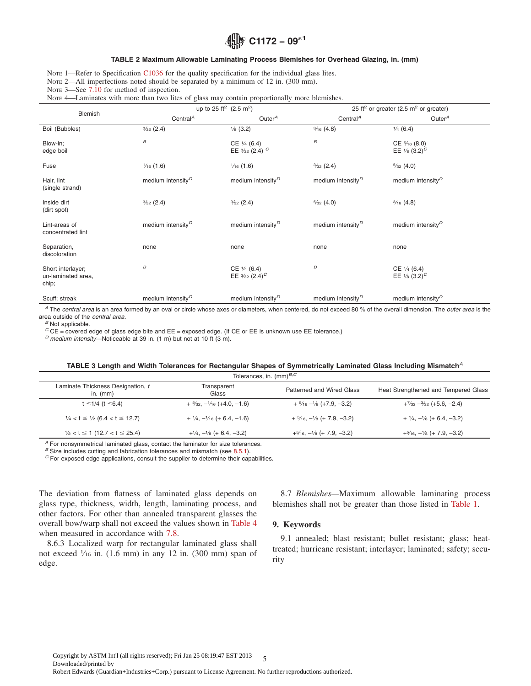# **C1172 − 09**´**<sup>1</sup>**

#### **TABLE 2 Maximum Allowable Laminating Process Blemishes for Overhead Glazing, in. (mm)**

<span id="page-4-0"></span>NOTE 1—Refer to Specification [C1036](#page-3-0) for the quality specification for the individual glass lites.

NOTE 2—All imperfections noted should be separated by a minimum of 12 in. (300 mm).

NOTE 3—See [7.10](#page-2-0) for method of inspection.

NOTE 4—Laminates with more than two lites of glass may contain proportionally more blemishes.

|                                                  |                                   | up to 25 ft <sup>2</sup> (2.5 m <sup>2</sup> )                 |                                                                                   | 25 ft <sup>2</sup> or greater (2.5 m <sup>2</sup> or greater) |  |  |
|--------------------------------------------------|-----------------------------------|----------------------------------------------------------------|-----------------------------------------------------------------------------------|---------------------------------------------------------------|--|--|
| Blemish                                          | Central <sup><math>A</math></sup> | Outer $A$                                                      | Central <sup><math>A</math></sup>                                                 | Outer $A$                                                     |  |  |
| Boil (Bubbles)                                   | $\frac{3}{32}$ (2.4)              | $\frac{1}{8}$ (3.2)                                            | $\frac{3}{16}$ (4.8)                                                              | $\frac{1}{4}$ (6.4)                                           |  |  |
| Blow-in;<br>edge boil                            | $\boldsymbol{B}$                  | $CE \frac{1}{4} (6.4)$<br>EE $\frac{3}{32}$ (2.4) <sup>C</sup> | $\boldsymbol{B}$                                                                  | $CE\frac{5}{16}(8.0)$<br>EE $\frac{1}{8}$ (3.2) <sup>C</sup>  |  |  |
| Fuse                                             | $\frac{1}{16}$ (1.6)              | $\frac{1}{16}$ (1.6)                                           | $\frac{3}{32}$ (2.4)                                                              | $\frac{5}{32}(4.0)$                                           |  |  |
| Hair, lint<br>(single strand)                    | medium intensity $P$              | medium intensity $P$                                           | medium intensity $P$                                                              | medium intensity $P$                                          |  |  |
| Inside dirt<br>(dirt spot)                       | $\frac{3}{32}$ (2.4)              | $\frac{3}{32}$ (2.4)                                           | $\frac{5}{32}(4.0)$                                                               | $\frac{3}{16}$ (4.8)                                          |  |  |
| Lint-areas of<br>concentrated lint               | medium intensity <sup>D</sup>     | medium intensity <sup>D</sup>                                  | medium intensity <sup>D</sup>                                                     | medium intensity <sup>D</sup>                                 |  |  |
| Separation,<br>discoloration                     | none                              | none                                                           | none                                                                              | none                                                          |  |  |
| Short interlayer;<br>un-laminated area,<br>chip; | $\boldsymbol{B}$                  | $CE \frac{1}{4} (6.4)$<br>EE $\frac{3}{32}$ (2.4) <sup>C</sup> | $\boldsymbol{B}$<br>$CE \frac{1}{4} (6.4)$<br>EE $\frac{1}{8}$ (3.2) <sup>C</sup> |                                                               |  |  |
| Scuff; streak                                    | medium intensity $D$              | medium intensity <sup>D</sup>                                  | medium intensity $P$                                                              | medium intensity <sup>D</sup>                                 |  |  |

*<sup>A</sup>* The *central area* is an area formed by an oval or circle whose axes or diameters, when centered, do not exceed 80 % of the overall dimension. The *outer area* is the area outside of the *central area*. *<sup>B</sup>* Not applicable.

*<sup>C</sup>* CE = covered edge of glass edge bite and EE = exposed edge. (If CE or EE is unknown use EE tolerance.) *<sup>D</sup> medium intensity*—Noticeable at 39 in. (1 m) but not at 10 ft (3 m).

#### **TABLE 3 Length and Width Tolerances for Rectangular Shapes of Symmetrically Laminated Glass Including Mismatch***<sup>A</sup>*

| Tolerances, in. $(mm)^{B,C}$                                 |                                                          |                                                       |                                                     |  |  |
|--------------------------------------------------------------|----------------------------------------------------------|-------------------------------------------------------|-----------------------------------------------------|--|--|
| Laminate Thickness Designation, t<br>in. $(mm)$              | Transparent<br>Glass                                     | Patterned and Wired Glass                             | Heat Strengthened and Tempered Glass                |  |  |
| $t \le 1/4$ ( $t \le 6.4$ )                                  | $+$ 5/ <sub>32</sub> , $-$ 1/ <sub>16</sub> (+4.0, -1.6) | $+$ 5/ <sub>16</sub> $-$ 1/ <sub>8</sub> (+7.9, -3.2) | $+7/32 - 3/32$ (+5.6, -2.4)                         |  |  |
| $\frac{1}{4}$ < t $\leq$ $\frac{1}{2}$ (6.4 < t $\leq$ 12.7) | $+$ $\frac{1}{4}$ , $-\frac{1}{16}$ (+ 6.4, -1.6)        | $+5/16, -1/8$ (+ 7.9, -3.2)                           | $+$ $\frac{1}{4}$ , $-\frac{1}{8}$ (+ 6.4, $-3.2$ ) |  |  |
| $\frac{1}{2}$ < t $\leq$ 1 (12.7 < t $\leq$ 25.4)            | $+1/4, -1/8$ (+ 6.4, -3.2)                               | $+5/16$ , $-1/8$ (+ 7.9, $-3.2$ )                     | $+5/16, -1/8$ (+ 7.9, -3.2)                         |  |  |

*A* For nonsymmetrical laminated glass, contact the laminator for size tolerances.<br><sup>*B*</sup> Size includes cutting and fabrication tolerances and mismatch (see 8.5.1).

<sup>C</sup> For exposed edge applications, consult the supplier to determine their capabilities.

The deviation from flatness of laminated glass depends on glass type, thickness, width, length, laminating process, and other factors. For other than annealed transparent glasses the overall bow/warp shall not exceed the values shown in [Table 4](#page-5-0) when measured in accordance with [7.8.](#page-2-0)

8.6.3 Localized warp for rectangular laminated glass shall not exceed  $\frac{1}{16}$  in. (1.6 mm) in any 12 in. (300 mm) span of edge.

8.7 *Blemishes—*Maximum allowable laminating process blemishes shall not be greater than those listed in [Table 1.](#page-3-0)

#### **9. Keywords**

9.1 annealed; blast resistant; bullet resistant; glass; heattreated; hurricane resistant; interlayer; laminated; safety; security